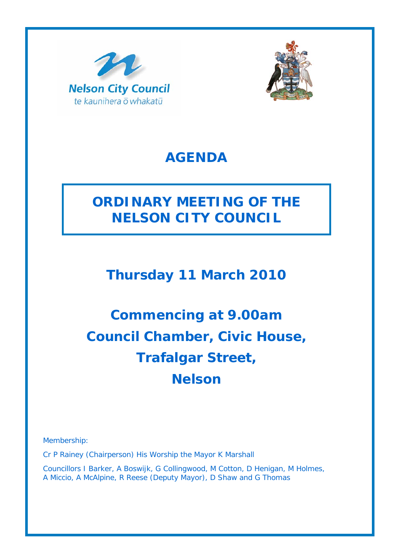



# **AGENDA**

# **ORDINARY MEETING OF THE NELSON CITY COUNCIL**

# **Thursday 11 March 2010**

# **Commencing at 9.00am Council Chamber, Civic House, Trafalgar Street, Nelson**

Membership:

Cr P Rainey (Chairperson) His Worship the Mayor K Marshall

Councillors I Barker, A Boswijk, G Collingwood, M Cotton, D Henigan, M Holmes, A Miccio, A McAlpine, R Reese (Deputy Mayor), D Shaw and G Thomas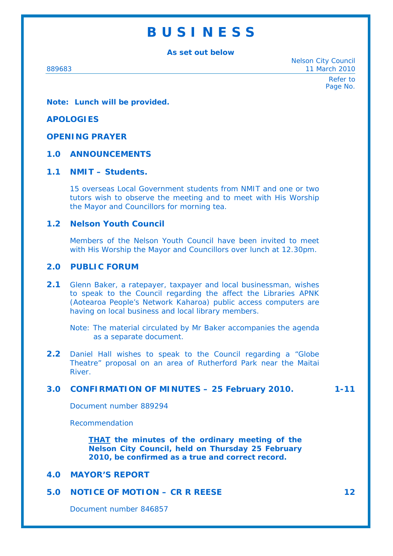# **B U S I N E S S**

**As set out below** 

Nelson City Council 889683 11 March 2010

> Refer to Page No.

**Note: Lunch will be provided.** 

#### **APOLOGIES**

# **OPENING PRAYER**

#### **1.0 ANNOUNCEMENTS**

# **1.1 NMIT – Students.**

15 overseas Local Government students from NMIT and one or two tutors wish to observe the meeting and to meet with His Worship the Mayor and Councillors for morning tea.

## **1.2 Nelson Youth Council**

Members of the Nelson Youth Council have been invited to meet with His Worship the Mayor and Councillors over lunch at 12.30pm.

#### **2.0 PUBLIC FORUM**

**2.1** Glenn Baker, a ratepayer, taxpayer and local businessman, wishes to speak to the Council regarding the affect the Libraries APNK (Aotearoa People's Network Kaharoa) public access computers are having on local business and local library members.

**2.2** Daniel Hall wishes to speak to the Council regarding a "Globe Theatre" proposal on an area of Rutherford Park near the Maitai River.

# **3.0 CONFIRMATION OF MINUTES – 25 February 2010. 1-11**

Document number 889294

Recommendation

*THAT the minutes of the ordinary meeting of the Nelson City Council, held on Thursday 25 February 2010, be confirmed as a true and correct record.* 

# **4.0 MAYOR'S REPORT**

# **5.0 NOTICE OF MOTION – CR R REESE 12 12**

Document number 846857

Note: The material circulated by Mr Baker accompanies the agenda as a separate document.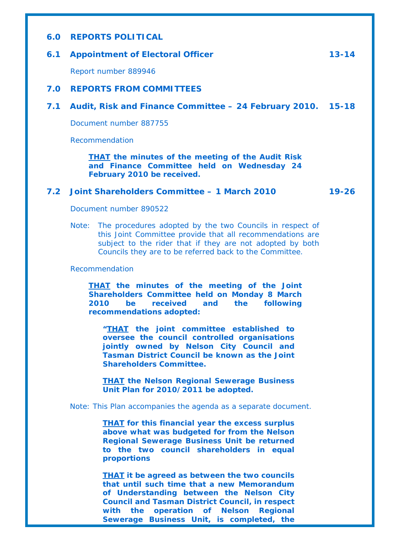### **6.0 REPORTS POLITICAL**

### **6.1 Appointment of Electoral Officer 13-14**

Report number 889946

#### **7.0 REPORTS FROM COMMITTEES**

**7.1 Audit, Risk and Finance Committee – 24 February 2010. 15-18** 

Document number 887755

Recommendation

*THAT the minutes of the meeting of the Audit Risk and Finance Committee held on Wednesday 24 February 2010 be received.* 

## **7.2 Joint Shareholders Committee – 1 March 2010 19-26**

Document number 890522

Note: The procedures adopted by the two Councils in respect of this Joint Committee provide that all recommendations are subject to the rider that if they are not adopted by both Councils they are to be referred back to the Committee.

#### Recommendation

*THAT the minutes of the meeting of the Joint Shareholders Committee held on Monday 8 March 2010 be received and the following recommendations adopted:* 

*"THAT the joint committee established to oversee the council controlled organisations jointly owned by Nelson City Council and Tasman District Council be known as the Joint Shareholders Committee.* 

*THAT the Nelson Regional Sewerage Business Unit Plan for 2010/2011 be adopted.* 

Note: This Plan accompanies the agenda as a separate document.

*THAT for this financial year the excess surplus above what was budgeted for from the Nelson Regional Sewerage Business Unit be returned to the two council shareholders in equal proportions* 

*THAT it be agreed as between the two councils that until such time that a new Memorandum of Understanding between the Nelson City Council and Tasman District Council, in respect with the operation of Nelson Regional Sewerage Business Unit, is completed, the*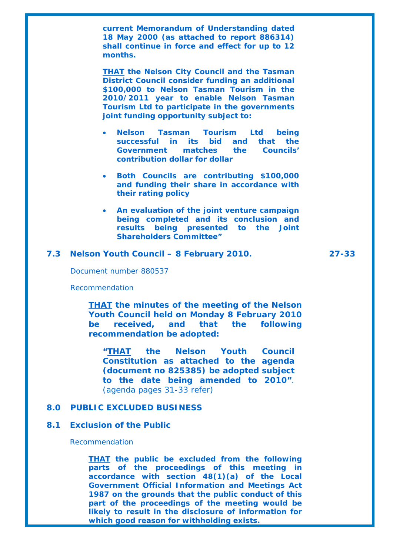*current Memorandum of Understanding dated 18 May 2000 (as attached to report 886314) shall continue in force and effect for up to 12 months.* 

*THAT the Nelson City Council and the Tasman District Council consider funding an additional \$100,000 to Nelson Tasman Tourism in the 2010/2011 year to enable Nelson Tasman Tourism Ltd to participate in the governments joint funding opportunity subject to:* 

- *Nelson Tasman Tourism Ltd being successful in its bid and that the Government matches the Councils' contribution dollar for dollar*
- *Both Councils are contributing \$100,000 and funding their share in accordance with their rating policy*
- *An evaluation of the joint venture campaign being completed and its conclusion and results being presented to the Joint Shareholders Committee"*

#### **7.3 Nelson Youth Council – 8 February 2010. 27-33**

Document number 880537

Recommendation

*THAT the minutes of the meeting of the Nelson Youth Council held on Monday 8 February 2010 be received, and that the following recommendation be adopted:* 

*"THAT the Nelson Youth Council Constitution as attached to the agenda (document no 825385) be adopted subject to the date being amended to 2010"*. (agenda pages 31-33 refer)

#### **8.0 PUBLIC EXCLUDED BUSINESS**

#### **8.1 Exclusion of the Public**

#### Recommendation

*THAT the public be excluded from the following parts of the proceedings of this meeting in accordance with section 48(1)(a) of the Local Government Official Information and Meetings Act 1987 on the grounds that the public conduct of this part of the proceedings of the meeting would be likely to result in the disclosure of information for which good reason for withholding exists.*